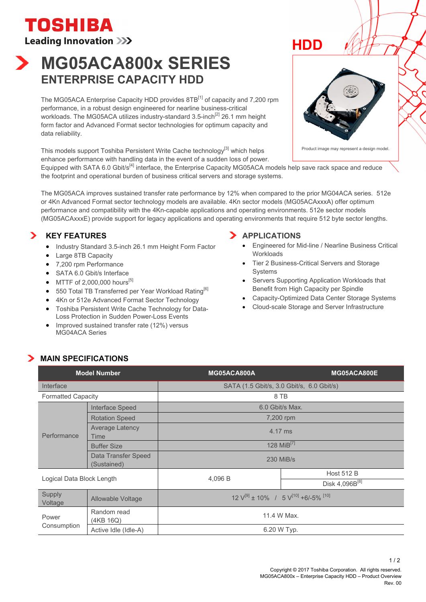**TOSHIBA Leading Innovation >>>** 

# **MG05ACA800x SERIES ENTERPRISE CAPACITY HDD**

The MG05ACA Enterprise Capacity HDD provides 8TB<sup>[1]</sup> of capacity and 7,200 rpm performance, in a robust design engineered for nearline business-critical workloads. The MG05ACA utilizes industry-standard  $3.5$ -inch<sup>[2]</sup> 26.1 mm height form factor and Advanced Format sector technologies for optimum capacity and data reliability.

This models support Toshiba Persistent Write Cache technology<sup>[3]</sup> which helps enhance performance with handling data in the event of a sudden loss of power.

Equipped with SATA 6.0 Gbit/s<sup>[4]</sup> interface, the Enterprise Capacity MG05ACA models help save rack space and reduce the footprint and operational burden of business critical servers and storage systems.

The MG05ACA improves sustained transfer rate performance by 12% when compared to the prior MG04ACA series. 512e or 4Kn Advanced Format sector technology models are available. 4Kn sector models (MG05ACAxxxA) offer optimum performance and compatibility with the 4Kn-capable applications and operating environments. 512e sector models (MG05ACAxxxE) provide support for legacy applications and operating environments that require 512 byte sector lengths.

# **KEY FEATURES**

- Industry Standard 3.5-inch 26.1 mm Height Form Factor
- Large 8TB Capacity
- 7.200 rpm Performance
- SATA 6.0 Gbit/s Interface
- $\bullet$  MTTF of 2,000,000 hours<sup>[5]</sup>
- 550 Total TB Transferred per Year Workload Rating<sup>[6]</sup>
- 4Kn or 512e Advanced Format Sector Technology
- Toshiba Persistent Write Cache Technology for Data-Loss Protection in Sudden Power-Loss Events
- Improved sustained transfer rate (12%) versus MG04ACA Series

## **APPLICATIONS**

- Engineered for Mid-line / Nearline Business Critical **Workloads**
- Tier 2 Business-Critical Servers and Storage **Systems**
- Servers Supporting Application Workloads that Benefit from High Capacity per Spindle
- Capacity-Optimized Data Center Storage Systems
- Cloud-scale Storage and Server Infrastructure

# **MAIN SPECIFICATIONS**

| <b>Model Number</b>       |                                    | MG05ACA800A                                                          | MG05ACA800E          |
|---------------------------|------------------------------------|----------------------------------------------------------------------|----------------------|
| Interface                 |                                    | SATA (1.5 Gbit/s, 3.0 Gbit/s, 6.0 Gbit/s)                            |                      |
| <b>Formatted Capacity</b> |                                    | 8 TB                                                                 |                      |
| Performance               | Interface Speed                    | 6.0 Gbit/s Max.                                                      |                      |
|                           | <b>Rotation Speed</b>              | 7,200 rpm                                                            |                      |
|                           | <b>Average Latency</b><br>Time     | 4.17 ms                                                              |                      |
|                           | <b>Buffer Size</b>                 | 128 $MiB^{[7]}$                                                      |                      |
|                           | Data Transfer Speed<br>(Sustained) | 230 MiB/s                                                            |                      |
| Logical Data Block Length |                                    | 4.096 B                                                              | <b>Host 512 B</b>    |
|                           |                                    |                                                                      | Disk 4,096 $B^{[8]}$ |
| <b>Supply</b><br>Voltage  | Allowable Voltage                  | $12 \text{ V}^{[9]} \pm 10\%$ / 5 $\text{V}^{[10]}$ +6/-5% $^{[10]}$ |                      |
| Power<br>Consumption      | Random read<br>(4KB 16Q)           | 11.4 W Max.                                                          |                      |
|                           | Active Idle (Idle-A)               | 6.20 W Typ.                                                          |                      |



**HDD**

Product image may represent a design model.

 $1/2$